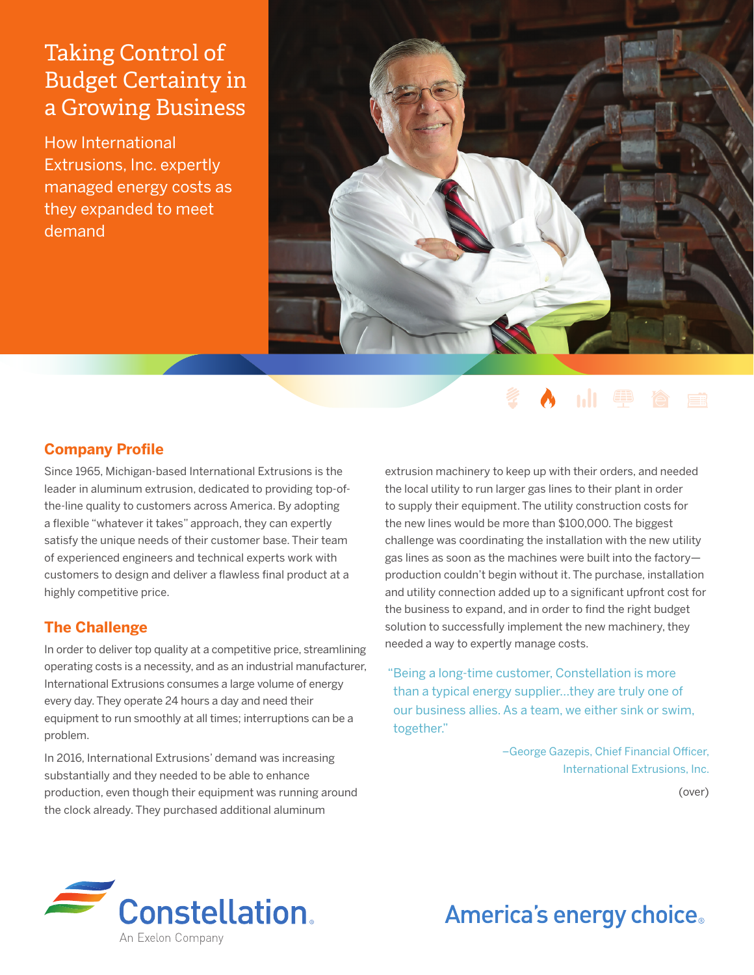## Taking Control of Budget Certainty in a Growing Business

How International Extrusions, Inc. expertly managed energy costs as they expanded to meet demand



## **Company Profile**

Since 1965, Michigan-based International Extrusions is the leader in aluminum extrusion, dedicated to providing top-ofthe-line quality to customers across America. By adopting a flexible "whatever it takes" approach, they can expertly satisfy the unique needs of their customer base. Their team of experienced engineers and technical experts work with customers to design and deliver a flawless final product at a highly competitive price.

## **The Challenge**

In order to deliver top quality at a competitive price, streamlining operating costs is a necessity, and as an industrial manufacturer, International Extrusions consumes a large volume of energy every day. They operate 24 hours a day and need their equipment to run smoothly at all times; interruptions can be a problem.

In 2016, International Extrusions' demand was increasing substantially and they needed to be able to enhance production, even though their equipment was running around the clock already. They purchased additional aluminum

extrusion machinery to keep up with their orders, and needed the local utility to run larger gas lines to their plant in order to supply their equipment. The utility construction costs for the new lines would be more than \$100,000. The biggest challenge was coordinating the installation with the new utility gas lines as soon as the machines were built into the factory production couldn't begin without it. The purchase, installation and utility connection added up to a significant upfront cost for the business to expand, and in order to find the right budget solution to successfully implement the new machinery, they needed a way to expertly manage costs.

"Being a long-time customer, Constellation is more than a typical energy supplier…they are truly one of our business allies. As a team, we either sink or swim, together."

> –George Gazepis, Chief Financial Officer, International Extrusions, Inc.

> > (over)



# America's energy choice.